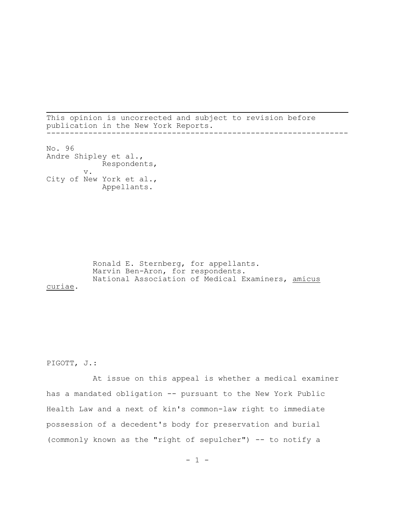This opinion is uncorrected and subject to revision before publication in the New York Reports. -----------------------------------------------------------------

No. 96 Andre Shipley et al., Respondents, v. City of New York et al., Appellants.

Ronald E. Sternberg, for appellants. Marvin Ben-Aron, for respondents. National Association of Medical Examiners, amicus curiae.

# PIGOTT, J.:

At issue on this appeal is whether a medical examiner has a mandated obligation -- pursuant to the New York Public Health Law and a next of kin's common-law right to immediate possession of a decedent's body for preservation and burial (commonly known as the "right of sepulcher") -- to notify a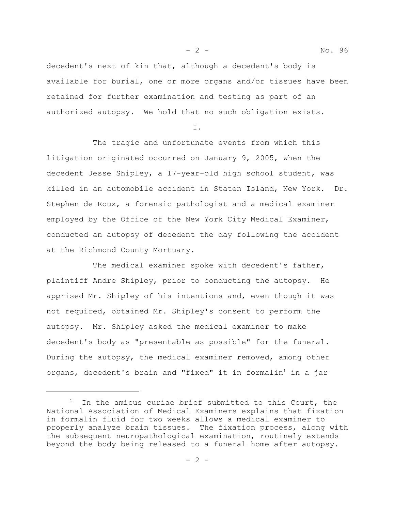- 2 - No. 96

decedent's next of kin that, although a decedent's body is available for burial, one or more organs and/or tissues have been retained for further examination and testing as part of an authorized autopsy. We hold that no such obligation exists.

I.

The tragic and unfortunate events from which this litigation originated occurred on January 9, 2005, when the decedent Jesse Shipley, a 17-year-old high school student, was killed in an automobile accident in Staten Island, New York. Dr. Stephen de Roux, a forensic pathologist and a medical examiner employed by the Office of the New York City Medical Examiner, conducted an autopsy of decedent the day following the accident at the Richmond County Mortuary.

The medical examiner spoke with decedent's father, plaintiff Andre Shipley, prior to conducting the autopsy. He apprised Mr. Shipley of his intentions and, even though it was not required, obtained Mr. Shipley's consent to perform the autopsy. Mr. Shipley asked the medical examiner to make decedent's body as "presentable as possible" for the funeral. During the autopsy, the medical examiner removed, among other organs, decedent's brain and "fixed" it in formalin<sup>1</sup> in a jar

 $1$  In the amicus curiae brief submitted to this Court, the National Association of Medical Examiners explains that fixation in formalin fluid for two weeks allows a medical examiner to properly analyze brain tissues. The fixation process, along with the subsequent neuropathological examination, routinely extends beyond the body being released to a funeral home after autopsy.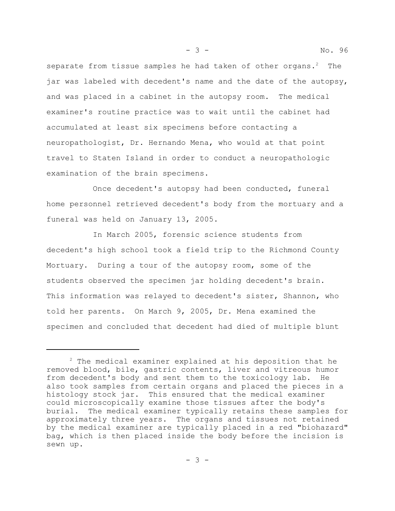separate from tissue samples he had taken of other organs. $2$  The jar was labeled with decedent's name and the date of the autopsy, and was placed in a cabinet in the autopsy room. The medical examiner's routine practice was to wait until the cabinet had accumulated at least six specimens before contacting a neuropathologist, Dr. Hernando Mena, who would at that point travel to Staten Island in order to conduct a neuropathologic examination of the brain specimens.

Once decedent's autopsy had been conducted, funeral home personnel retrieved decedent's body from the mortuary and a funeral was held on January 13, 2005.

In March 2005, forensic science students from decedent's high school took a field trip to the Richmond County Mortuary. During a tour of the autopsy room, some of the students observed the specimen jar holding decedent's brain. This information was relayed to decedent's sister, Shannon, who told her parents. On March 9, 2005, Dr. Mena examined the specimen and concluded that decedent had died of multiple blunt

 $2$  The medical examiner explained at his deposition that he removed blood, bile, gastric contents, liver and vitreous humor from decedent's body and sent them to the toxicology lab. He also took samples from certain organs and placed the pieces in a histology stock jar. This ensured that the medical examiner could microscopically examine those tissues after the body's burial. The medical examiner typically retains these samples for approximately three years. The organs and tissues not retained by the medical examiner are typically placed in a red "biohazard" bag, which is then placed inside the body before the incision is sewn up.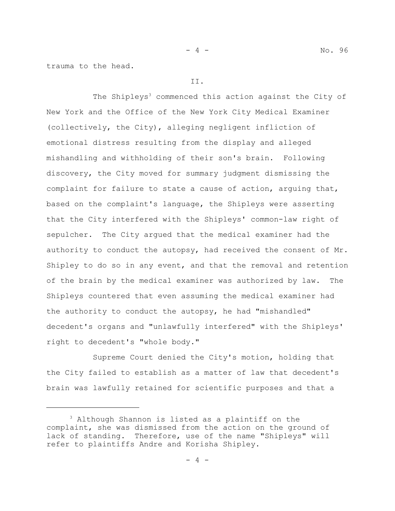trauma to the head.

## II.

The Shipleys<sup>3</sup> commenced this action against the City of New York and the Office of the New York City Medical Examiner (collectively, the City), alleging negligent infliction of emotional distress resulting from the display and alleged mishandling and withholding of their son's brain. Following discovery, the City moved for summary judgment dismissing the complaint for failure to state a cause of action, arguing that, based on the complaint's language, the Shipleys were asserting that the City interfered with the Shipleys' common-law right of sepulcher. The City argued that the medical examiner had the authority to conduct the autopsy, had received the consent of Mr. Shipley to do so in any event, and that the removal and retention of the brain by the medical examiner was authorized by law. The Shipleys countered that even assuming the medical examiner had the authority to conduct the autopsy, he had "mishandled" decedent's organs and "unlawfully interfered" with the Shipleys' right to decedent's "whole body."

Supreme Court denied the City's motion, holding that the City failed to establish as a matter of law that decedent's brain was lawfully retained for scientific purposes and that a

<sup>3</sup> Although Shannon is listed as a plaintiff on the complaint, she was dismissed from the action on the ground of lack of standing. Therefore, use of the name "Shipleys" will refer to plaintiffs Andre and Korisha Shipley.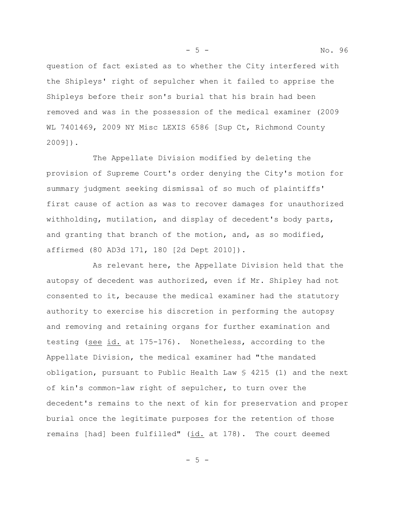question of fact existed as to whether the City interfered with the Shipleys' right of sepulcher when it failed to apprise the Shipleys before their son's burial that his brain had been removed and was in the possession of the medical examiner (2009 WL 7401469, 2009 NY Misc LEXIS 6586 [Sup Ct, Richmond County 2009]).

The Appellate Division modified by deleting the provision of Supreme Court's order denying the City's motion for summary judgment seeking dismissal of so much of plaintiffs' first cause of action as was to recover damages for unauthorized withholding, mutilation, and display of decedent's body parts, and granting that branch of the motion, and, as so modified, affirmed (80 AD3d 171, 180 [2d Dept 2010]).

As relevant here, the Appellate Division held that the autopsy of decedent was authorized, even if Mr. Shipley had not consented to it, because the medical examiner had the statutory authority to exercise his discretion in performing the autopsy and removing and retaining organs for further examination and testing (see id. at 175-176). Nonetheless, according to the Appellate Division, the medical examiner had "the mandated obligation, pursuant to Public Health Law § 4215 (1) and the next of kin's common-law right of sepulcher, to turn over the decedent's remains to the next of kin for preservation and proper burial once the legitimate purposes for the retention of those remains [had] been fulfilled" (id. at 178). The court deemed

 $-5 -$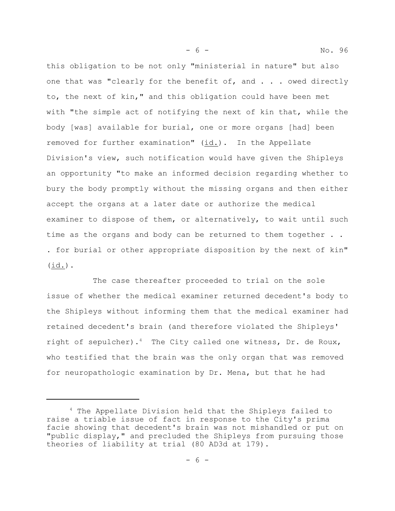this obligation to be not only "ministerial in nature" but also one that was "clearly for the benefit of, and . . . owed directly to, the next of kin," and this obligation could have been met with "the simple act of notifying the next of kin that, while the body [was] available for burial, one or more organs [had] been removed for further examination" (id.). In the Appellate Division's view, such notification would have given the Shipleys an opportunity "to make an informed decision regarding whether to bury the body promptly without the missing organs and then either accept the organs at a later date or authorize the medical examiner to dispose of them, or alternatively, to wait until such time as the organs and body can be returned to them together . . . for burial or other appropriate disposition by the next of kin" (id.).

The case thereafter proceeded to trial on the sole issue of whether the medical examiner returned decedent's body to the Shipleys without informing them that the medical examiner had retained decedent's brain (and therefore violated the Shipleys' right of sepulcher).<sup>4</sup> The City called one witness, Dr. de Roux, who testified that the brain was the only organ that was removed for neuropathologic examination by Dr. Mena, but that he had

<sup>4</sup> The Appellate Division held that the Shipleys failed to raise a triable issue of fact in response to the City's prima facie showing that decedent's brain was not mishandled or put on "public display," and precluded the Shipleys from pursuing those theories of liability at trial (80 AD3d at 179).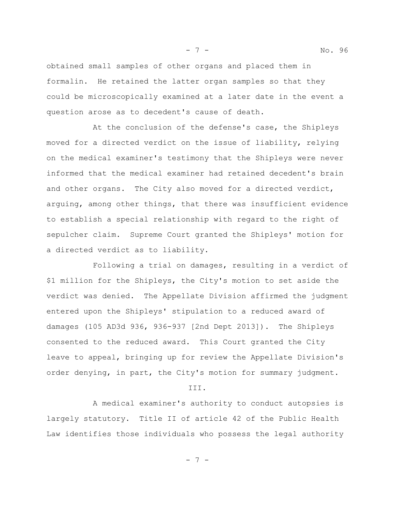- 7 - No. 96

obtained small samples of other organs and placed them in formalin. He retained the latter organ samples so that they could be microscopically examined at a later date in the event a question arose as to decedent's cause of death.

At the conclusion of the defense's case, the Shipleys moved for a directed verdict on the issue of liability, relying on the medical examiner's testimony that the Shipleys were never informed that the medical examiner had retained decedent's brain and other organs. The City also moved for a directed verdict, arguing, among other things, that there was insufficient evidence to establish a special relationship with regard to the right of sepulcher claim. Supreme Court granted the Shipleys' motion for a directed verdict as to liability.

Following a trial on damages, resulting in a verdict of \$1 million for the Shipleys, the City's motion to set aside the verdict was denied. The Appellate Division affirmed the judgment entered upon the Shipleys' stipulation to a reduced award of damages (105 AD3d 936, 936-937 [2nd Dept 2013]). The Shipleys consented to the reduced award. This Court granted the City leave to appeal, bringing up for review the Appellate Division's order denying, in part, the City's motion for summary judgment.

III.

A medical examiner's authority to conduct autopsies is largely statutory. Title II of article 42 of the Public Health Law identifies those individuals who possess the legal authority

- 7 -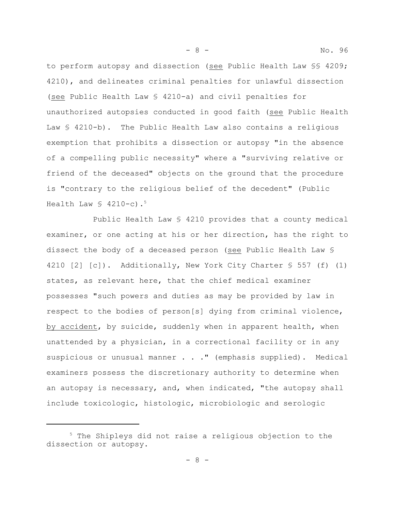to perform autopsy and dissection (see Public Health Law §§ 4209; 4210), and delineates criminal penalties for unlawful dissection (see Public Health Law § 4210-a) and civil penalties for unauthorized autopsies conducted in good faith (see Public Health Law § 4210-b). The Public Health Law also contains a religious exemption that prohibits a dissection or autopsy "in the absence of a compelling public necessity" where a "surviving relative or friend of the deceased" objects on the ground that the procedure is "contrary to the religious belief of the decedent" (Public Health Law  $\frac{1}{2}$  4210-c).<sup>5</sup>

Public Health Law § 4210 provides that a county medical examiner, or one acting at his or her direction, has the right to dissect the body of a deceased person (see Public Health Law § 4210 [2] [c]). Additionally, New York City Charter § 557 (f) (1) states, as relevant here, that the chief medical examiner possesses "such powers and duties as may be provided by law in respect to the bodies of person[s] dying from criminal violence, by accident, by suicide, suddenly when in apparent health, when unattended by a physician, in a correctional facility or in any suspicious or unusual manner . . . " (emphasis supplied). Medical examiners possess the discretionary authority to determine when an autopsy is necessary, and, when indicated, "the autopsy shall include toxicologic, histologic, microbiologic and serologic

- 8 - No. 96

<sup>&</sup>lt;sup>5</sup> The Shipleys did not raise a religious objection to the dissection or autopsy.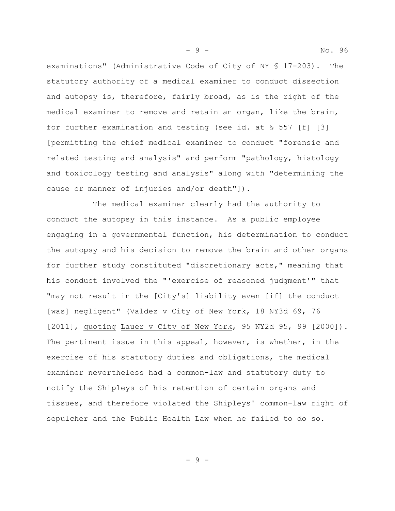examinations" (Administrative Code of City of NY § 17-203). The statutory authority of a medical examiner to conduct dissection and autopsy is, therefore, fairly broad, as is the right of the medical examiner to remove and retain an organ, like the brain, for further examination and testing (see id. at § 557 [f] [3] [permitting the chief medical examiner to conduct "forensic and related testing and analysis" and perform "pathology, histology and toxicology testing and analysis" along with "determining the cause or manner of injuries and/or death"]).

The medical examiner clearly had the authority to conduct the autopsy in this instance. As a public employee engaging in a governmental function, his determination to conduct the autopsy and his decision to remove the brain and other organs for further study constituted "discretionary acts," meaning that his conduct involved the "'exercise of reasoned judgment'" that "may not result in the [City's] liability even [if] the conduct [was] negligent" (Valdez v City of New York, 18 NY3d 69, 76 [2011], quoting Lauer v City of New York, 95 NY2d 95, 99 [2000]). The pertinent issue in this appeal, however, is whether, in the exercise of his statutory duties and obligations, the medical examiner nevertheless had a common-law and statutory duty to notify the Shipleys of his retention of certain organs and tissues, and therefore violated the Shipleys' common-law right of sepulcher and the Public Health Law when he failed to do so.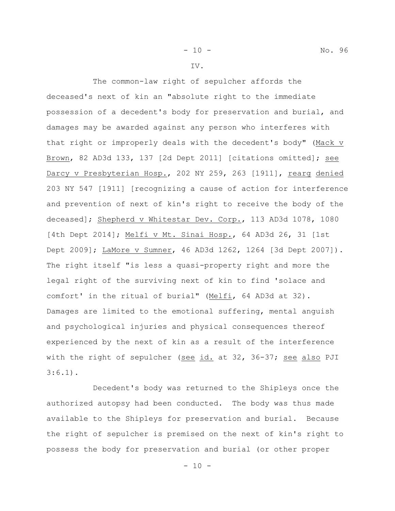IV.

The common-law right of sepulcher affords the deceased's next of kin an "absolute right to the immediate possession of a decedent's body for preservation and burial, and damages may be awarded against any person who interferes with that right or improperly deals with the decedent's body" (Mack v Brown, 82 AD3d 133, 137 [2d Dept 2011] [citations omitted]; see Darcy v Presbyterian Hosp., 202 NY 259, 263 [1911], rearg denied 203 NY 547 [1911] [recognizing a cause of action for interference and prevention of next of kin's right to receive the body of the deceased]; Shepherd v Whitestar Dev. Corp., 113 AD3d 1078, 1080 [4th Dept 2014]; Melfi v Mt. Sinai Hosp., 64 AD3d 26, 31 [1st Dept 2009]; LaMore v Sumner, 46 AD3d 1262, 1264 [3d Dept 2007]). The right itself "is less a quasi-property right and more the legal right of the surviving next of kin to find 'solace and comfort' in the ritual of burial" (Melfi, 64 AD3d at 32). Damages are limited to the emotional suffering, mental anguish and psychological injuries and physical consequences thereof experienced by the next of kin as a result of the interference with the right of sepulcher (see id. at 32, 36-37; see also PJI  $3:6.1$ .

Decedent's body was returned to the Shipleys once the authorized autopsy had been conducted. The body was thus made available to the Shipleys for preservation and burial. Because the right of sepulcher is premised on the next of kin's right to possess the body for preservation and burial (or other proper

 $- 10 -$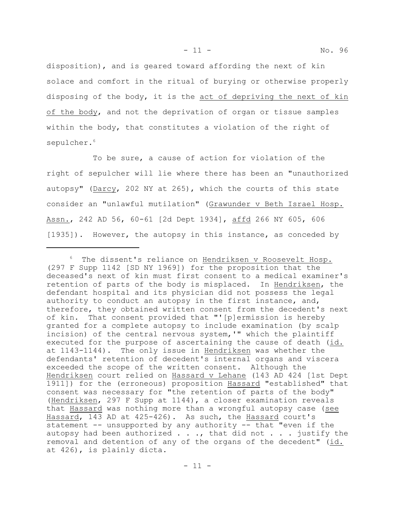- 11 - No. 96

disposition), and is geared toward affording the next of kin solace and comfort in the ritual of burying or otherwise properly disposing of the body, it is the act of depriving the next of kin of the body, and not the deprivation of organ or tissue samples within the body, that constitutes a violation of the right of sepulcher.<sup>6</sup>

To be sure, a cause of action for violation of the right of sepulcher will lie where there has been an "unauthorized autopsy" (Darcy, 202 NY at 265), which the courts of this state consider an "unlawful mutilation" (Grawunder v Beth Israel Hosp. Assn., 242 AD 56, 60-61 [2d Dept 1934], affd 266 NY 605, 606 [1935]). However, the autopsy in this instance, as conceded by

<sup>&</sup>lt;sup>6</sup> The dissent's reliance on Hendriksen v Roosevelt Hosp. (297 F Supp 1142 [SD NY 1969]) for the proposition that the deceased's next of kin must first consent to a medical examiner's retention of parts of the body is misplaced. In Hendriksen, the defendant hospital and its physician did not possess the legal authority to conduct an autopsy in the first instance, and, therefore, they obtained written consent from the decedent's next of kin. That consent provided that "'[p]ermission is hereby granted for a complete autopsy to include examination (by scalp incision) of the central nervous system,'" which the plaintiff executed for the purpose of ascertaining the cause of death (id. at 1143-1144). The only issue in Hendriksen was whether the defendants' retention of decedent's internal organs and viscera exceeded the scope of the written consent. Although the Hendriksen court relied on Hassard v Lehane (143 AD 424 [1st Dept 1911]) for the (erroneous) proposition Hassard "established" that consent was necessary for "the retention of parts of the body" (Hendriksen, 297 F Supp at 1144), a closer examination reveals that Hassard was nothing more than a wrongful autopsy case (see Hassard, 143 AD at 425-426). As such, the Hassard court's statement -- unsupported by any authority -- that "even if the autopsy had been authorized  $\ldots$ , that did not  $\ldots$  justify the removal and detention of any of the organs of the decedent" (id. at 426), is plainly dicta.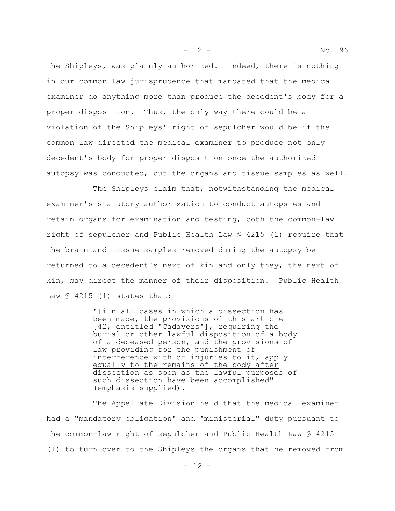the Shipleys, was plainly authorized. Indeed, there is nothing in our common law jurisprudence that mandated that the medical examiner do anything more than produce the decedent's body for a proper disposition. Thus, the only way there could be a violation of the Shipleys' right of sepulcher would be if the common law directed the medical examiner to produce not only decedent's body for proper disposition once the authorized autopsy was conducted, but the organs and tissue samples as well.

The Shipleys claim that, notwithstanding the medical examiner's statutory authorization to conduct autopsies and retain organs for examination and testing, both the common-law right of sepulcher and Public Health Law § 4215 (1) require that the brain and tissue samples removed during the autopsy be returned to a decedent's next of kin and only they, the next of kin, may direct the manner of their disposition. Public Health Law  $\frac{1}{2}$  4215 (1) states that:

> "[i]n all cases in which a dissection has been made, the provisions of this article [42, entitled "Cadavers"], requiring the burial or other lawful disposition of a body of a deceased person, and the provisions of law providing for the punishment of interference with or injuries to it, apply equally to the remains of the body after dissection as soon as the lawful purposes of such dissection have been accomplished" (emphasis supplied).

The Appellate Division held that the medical examiner had a "mandatory obligation" and "ministerial" duty pursuant to the common-law right of sepulcher and Public Health Law § 4215 (1) to turn over to the Shipleys the organs that he removed from

- 12 - No. 96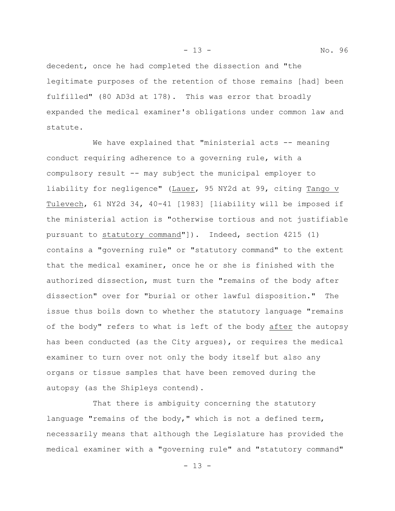decedent, once he had completed the dissection and "the legitimate purposes of the retention of those remains [had] been fulfilled" (80 AD3d at 178). This was error that broadly expanded the medical examiner's obligations under common law and statute.

We have explained that "ministerial acts -- meaning conduct requiring adherence to a governing rule, with a compulsory result -- may subject the municipal employer to liability for negligence" (Lauer, 95 NY2d at 99, citing Tango v Tulevech, 61 NY2d 34, 40-41 [1983] [liability will be imposed if the ministerial action is "otherwise tortious and not justifiable pursuant to statutory command"]). Indeed, section 4215 (1) contains a "governing rule" or "statutory command" to the extent that the medical examiner, once he or she is finished with the authorized dissection, must turn the "remains of the body after dissection" over for "burial or other lawful disposition." The issue thus boils down to whether the statutory language "remains of the body" refers to what is left of the body after the autopsy has been conducted (as the City argues), or requires the medical examiner to turn over not only the body itself but also any organs or tissue samples that have been removed during the autopsy (as the Shipleys contend).

That there is ambiguity concerning the statutory language "remains of the body," which is not a defined term, necessarily means that although the Legislature has provided the medical examiner with a "governing rule" and "statutory command"

- 13 - No. 96

- 13 -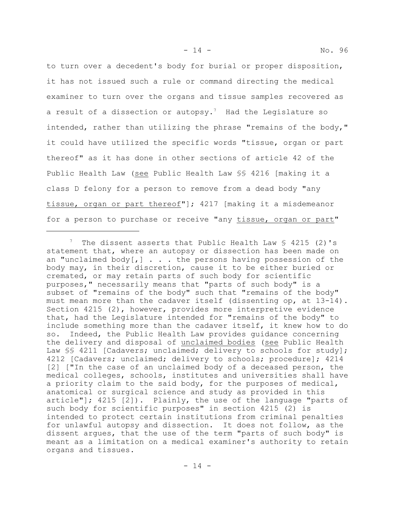to turn over a decedent's body for burial or proper disposition, it has not issued such a rule or command directing the medical examiner to turn over the organs and tissue samples recovered as a result of a dissection or autopsy.<sup>7</sup> Had the Legislature so intended, rather than utilizing the phrase "remains of the body," it could have utilized the specific words "tissue, organ or part thereof" as it has done in other sections of article 42 of the Public Health Law (see Public Health Law §§ 4216 [making it a class D felony for a person to remove from a dead body "any tissue, organ or part thereof"]; 4217 [making it a misdemeanor for a person to purchase or receive "any tissue, organ or part"

<sup>&</sup>lt;sup>7</sup> The dissent asserts that Public Health Law  $\frac{1}{5}$  4215 (2)'s statement that, where an autopsy or dissection has been made on an "unclaimed body $[j]$ ... the persons having possession of the body may, in their discretion, cause it to be either buried or cremated, or may retain parts of such body for scientific purposes," necessarily means that "parts of such body" is a subset of "remains of the body" such that "remains of the body" must mean more than the cadaver itself (dissenting op, at 13-14). Section 4215 (2), however, provides more interpretive evidence that, had the Legislature intended for "remains of the body" to include something more than the cadaver itself, it knew how to do so. Indeed, the Public Health Law provides guidance concerning the delivery and disposal of unclaimed bodies (see Public Health Law SS 4211 [Cadavers; unclaimed; delivery to schools for study]; 4212 [Cadavers; unclaimed; delivery to schools; procedure]; 4214 [2] ["In the case of an unclaimed body of a deceased person, the medical colleges, schools, institutes and universities shall have a priority claim to the said body, for the purposes of medical, anatomical or surgical science and study as provided in this article"]; 4215 [2]). Plainly, the use of the language "parts of such body for scientific purposes" in section 4215 (2) is intended to protect certain institutions from criminal penalties for unlawful autopsy and dissection. It does not follow, as the dissent argues, that the use of the term "parts of such body" is meant as a limitation on a medical examiner's authority to retain organs and tissues.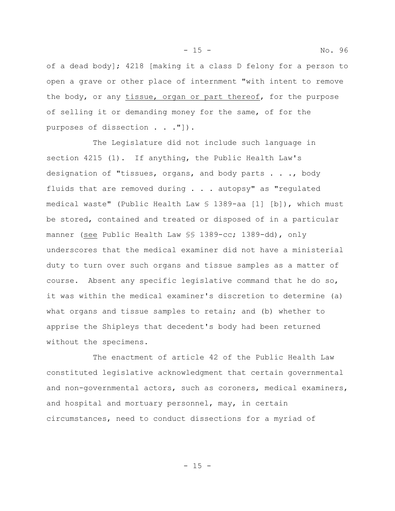of a dead body]; 4218 [making it a class D felony for a person to open a grave or other place of internment "with intent to remove the body, or any tissue, organ or part thereof, for the purpose of selling it or demanding money for the same, of for the purposes of dissection . . . "]).

The Legislature did not include such language in section 4215 (1). If anything, the Public Health Law's designation of "tissues, organs, and body parts . . ., body fluids that are removed during . . . autopsy" as "regulated medical waste" (Public Health Law § 1389-aa [1] [b]), which must be stored, contained and treated or disposed of in a particular manner (see Public Health Law §§ 1389-cc; 1389-dd), only underscores that the medical examiner did not have a ministerial duty to turn over such organs and tissue samples as a matter of course. Absent any specific legislative command that he do so, it was within the medical examiner's discretion to determine (a) what organs and tissue samples to retain; and (b) whether to apprise the Shipleys that decedent's body had been returned without the specimens.

The enactment of article 42 of the Public Health Law constituted legislative acknowledgment that certain governmental and non-governmental actors, such as coroners, medical examiners, and hospital and mortuary personnel, may, in certain circumstances, need to conduct dissections for a myriad of

- 15 - No. 96

 $- 15 -$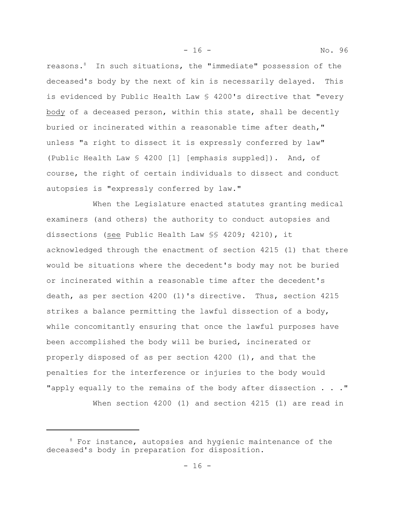reasons.<sup>8</sup> In such situations, the "immediate" possession of the deceased's body by the next of kin is necessarily delayed. This is evidenced by Public Health Law § 4200's directive that "every body of a deceased person, within this state, shall be decently buried or incinerated within a reasonable time after death," unless "a right to dissect it is expressly conferred by law" (Public Health Law § 4200 [1] [emphasis suppled]). And, of course, the right of certain individuals to dissect and conduct autopsies is "expressly conferred by law."

When the Legislature enacted statutes granting medical examiners (and others) the authority to conduct autopsies and dissections (see Public Health Law §§ 4209; 4210), it acknowledged through the enactment of section 4215 (1) that there would be situations where the decedent's body may not be buried or incinerated within a reasonable time after the decedent's death, as per section 4200 (1)'s directive. Thus, section 4215 strikes a balance permitting the lawful dissection of a body, while concomitantly ensuring that once the lawful purposes have been accomplished the body will be buried, incinerated or properly disposed of as per section 4200 (1), and that the penalties for the interference or injuries to the body would "apply equally to the remains of the body after dissection . . ."

When section 4200 (1) and section 4215 (1) are read in

<sup>&</sup>lt;sup>8</sup> For instance, autopsies and hygienic maintenance of the deceased's body in preparation for disposition.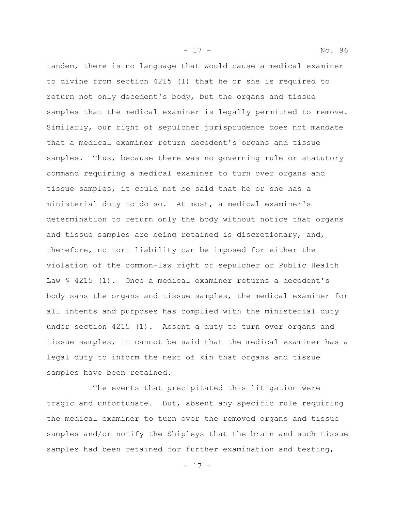tandem, there is no language that would cause a medical examiner to divine from section 4215 (1) that he or she is required to return not only decedent's body, but the organs and tissue samples that the medical examiner is legally permitted to remove. Similarly, our right of sepulcher jurisprudence does not mandate that a medical examiner return decedent's organs and tissue samples. Thus, because there was no governing rule or statutory command requiring a medical examiner to turn over organs and tissue samples, it could not be said that he or she has a ministerial duty to do so. At most, a medical examiner's determination to return only the body without notice that organs and tissue samples are being retained is discretionary, and, therefore, no tort liability can be imposed for either the violation of the common-law right of sepulcher or Public Health Law  $\frac{1}{2}$  4215 (1). Once a medical examiner returns a decedent's body sans the organs and tissue samples, the medical examiner for all intents and purposes has complied with the ministerial duty under section 4215 (1). Absent a duty to turn over organs and tissue samples, it cannot be said that the medical examiner has a legal duty to inform the next of kin that organs and tissue samples have been retained.

The events that precipitated this litigation were tragic and unfortunate. But, absent any specific rule requiring the medical examiner to turn over the removed organs and tissue samples and/or notify the Shipleys that the brain and such tissue samples had been retained for further examination and testing,

- 17 - No. 96

- 17 -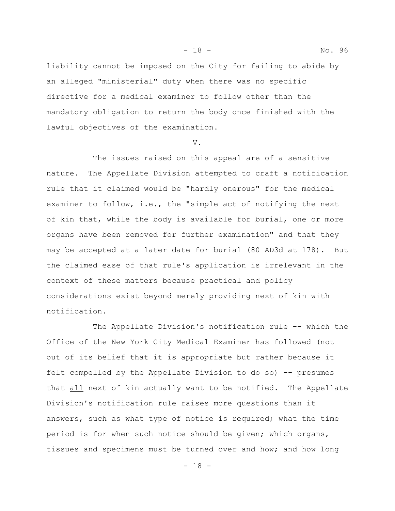- 18 - No. 96

liability cannot be imposed on the City for failing to abide by an alleged "ministerial" duty when there was no specific directive for a medical examiner to follow other than the mandatory obligation to return the body once finished with the lawful objectives of the examination.

V.

The issues raised on this appeal are of a sensitive nature. The Appellate Division attempted to craft a notification rule that it claimed would be "hardly onerous" for the medical examiner to follow, i.e., the "simple act of notifying the next of kin that, while the body is available for burial, one or more organs have been removed for further examination" and that they may be accepted at a later date for burial (80 AD3d at 178). But the claimed ease of that rule's application is irrelevant in the context of these matters because practical and policy considerations exist beyond merely providing next of kin with notification.

The Appellate Division's notification rule -- which the Office of the New York City Medical Examiner has followed (not out of its belief that it is appropriate but rather because it felt compelled by the Appellate Division to do so) -- presumes that all next of kin actually want to be notified. The Appellate Division's notification rule raises more questions than it answers, such as what type of notice is required; what the time period is for when such notice should be given; which organs, tissues and specimens must be turned over and how; and how long

- 18 -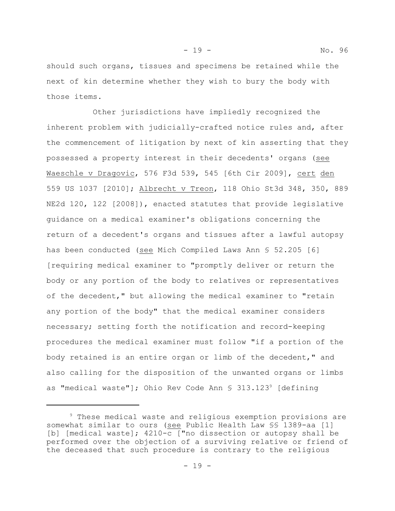- 19 - No. 96

should such organs, tissues and specimens be retained while the next of kin determine whether they wish to bury the body with those items.

Other jurisdictions have impliedly recognized the inherent problem with judicially-crafted notice rules and, after the commencement of litigation by next of kin asserting that they possessed a property interest in their decedents' organs (see Waeschle v Dragovic, 576 F3d 539, 545 [6th Cir 2009], cert den 559 US 1037 [2010]; Albrecht v Treon, 118 Ohio St3d 348, 350, 889 NE2d 120, 122 [2008]), enacted statutes that provide legislative guidance on a medical examiner's obligations concerning the return of a decedent's organs and tissues after a lawful autopsy has been conducted (see Mich Compiled Laws Ann § 52.205 [6] [requiring medical examiner to "promptly deliver or return the body or any portion of the body to relatives or representatives of the decedent," but allowing the medical examiner to "retain any portion of the body" that the medical examiner considers necessary; setting forth the notification and record-keeping procedures the medical examiner must follow "if a portion of the body retained is an entire organ or limb of the decedent," and also calling for the disposition of the unwanted organs or limbs as "medical waste"]; Ohio Rev Code Ann  $\S$  313.123<sup>9</sup> [defining]

<sup>&</sup>lt;sup>9</sup> These medical waste and religious exemption provisions are somewhat similar to ours (see Public Health Law §§ 1389-aa [1] [b] [medical waste]; 4210-c ["no dissection or autopsy shall be performed over the objection of a surviving relative or friend of the deceased that such procedure is contrary to the religious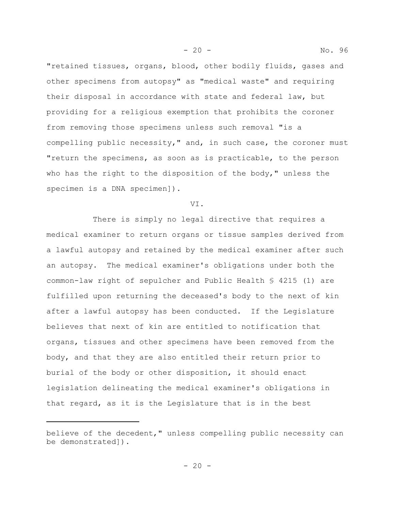"retained tissues, organs, blood, other bodily fluids, gases and other specimens from autopsy" as "medical waste" and requiring their disposal in accordance with state and federal law, but providing for a religious exemption that prohibits the coroner from removing those specimens unless such removal "is a compelling public necessity," and, in such case, the coroner must "return the specimens, as soon as is practicable, to the person who has the right to the disposition of the body," unless the specimen is a DNA specimen]).

VI.

There is simply no legal directive that requires a medical examiner to return organs or tissue samples derived from a lawful autopsy and retained by the medical examiner after such an autopsy. The medical examiner's obligations under both the common-law right of sepulcher and Public Health § 4215 (1) are fulfilled upon returning the deceased's body to the next of kin after a lawful autopsy has been conducted. If the Legislature believes that next of kin are entitled to notification that organs, tissues and other specimens have been removed from the body, and that they are also entitled their return prior to burial of the body or other disposition, it should enact legislation delineating the medical examiner's obligations in that regard, as it is the Legislature that is in the best

- 20 - No. 96

believe of the decedent," unless compelling public necessity can be demonstrated]).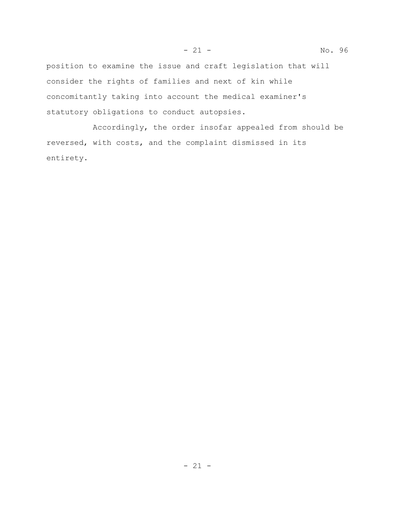position to examine the issue and craft legislation that will consider the rights of families and next of kin while concomitantly taking into account the medical examiner's statutory obligations to conduct autopsies.

Accordingly, the order insofar appealed from should be reversed, with costs, and the complaint dismissed in its entirety.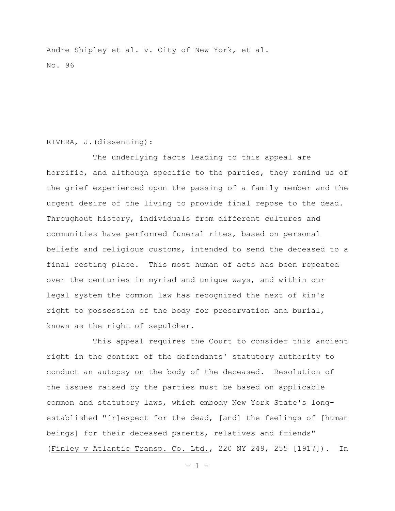Andre Shipley et al. v. City of New York, et al. No. 96

# RIVERA, J.(dissenting):

The underlying facts leading to this appeal are horrific, and although specific to the parties, they remind us of the grief experienced upon the passing of a family member and the urgent desire of the living to provide final repose to the dead. Throughout history, individuals from different cultures and communities have performed funeral rites, based on personal beliefs and religious customs, intended to send the deceased to a final resting place. This most human of acts has been repeated over the centuries in myriad and unique ways, and within our legal system the common law has recognized the next of kin's right to possession of the body for preservation and burial, known as the right of sepulcher.

This appeal requires the Court to consider this ancient right in the context of the defendants' statutory authority to conduct an autopsy on the body of the deceased. Resolution of the issues raised by the parties must be based on applicable common and statutory laws, which embody New York State's longestablished "[r]espect for the dead, [and] the feelings of [human beings] for their deceased parents, relatives and friends" (Finley v Atlantic Transp. Co. Ltd., 220 NY 249, 255 [1917]). In

 $- 1 -$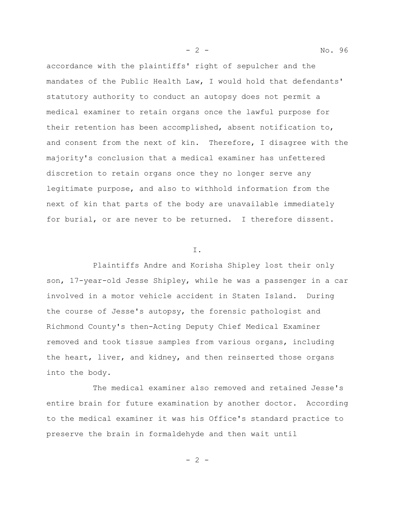accordance with the plaintiffs' right of sepulcher and the mandates of the Public Health Law, I would hold that defendants' statutory authority to conduct an autopsy does not permit a medical examiner to retain organs once the lawful purpose for their retention has been accomplished, absent notification to, and consent from the next of kin. Therefore, I disagree with the majority's conclusion that a medical examiner has unfettered discretion to retain organs once they no longer serve any legitimate purpose, and also to withhold information from the next of kin that parts of the body are unavailable immediately for burial, or are never to be returned. I therefore dissent.

#### I.

Plaintiffs Andre and Korisha Shipley lost their only son, 17-year-old Jesse Shipley, while he was a passenger in a car involved in a motor vehicle accident in Staten Island. During the course of Jesse's autopsy, the forensic pathologist and Richmond County's then-Acting Deputy Chief Medical Examiner removed and took tissue samples from various organs, including the heart, liver, and kidney, and then reinserted those organs into the body.

The medical examiner also removed and retained Jesse's entire brain for future examination by another doctor. According to the medical examiner it was his Office's standard practice to preserve the brain in formaldehyde and then wait until

- 2 - No. 96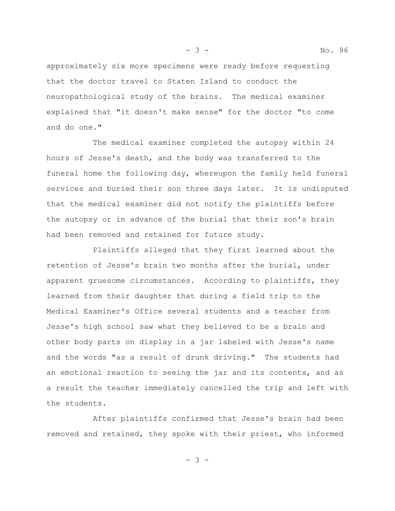approximately six more specimens were ready before requesting that the doctor travel to Staten Island to conduct the neuropathological study of the brains. The medical examiner explained that "it doesn't make sense" for the doctor "to come and do one."

The medical examiner completed the autopsy within 24 hours of Jesse's death, and the body was transferred to the funeral home the following day, whereupon the family held funeral services and buried their son three days later. It is undisputed that the medical examiner did not notify the plaintiffs before the autopsy or in advance of the burial that their son's brain had been removed and retained for future study.

Plaintiffs alleged that they first learned about the retention of Jesse's brain two months after the burial, under apparent gruesome circumstances. According to plaintiffs, they learned from their daughter that during a field trip to the Medical Examiner's Office several students and a teacher from Jesse's high school saw what they believed to be a brain and other body parts on display in a jar labeled with Jesse's name and the words "as a result of drunk driving." The students had an emotional reaction to seeing the jar and its contents, and as a result the teacher immediately cancelled the trip and left with the students.

After plaintiffs confirmed that Jesse's brain had been removed and retained, they spoke with their priest, who informed

- 3 -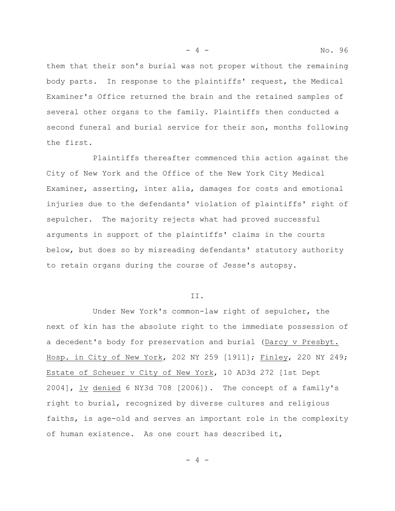them that their son's burial was not proper without the remaining body parts. In response to the plaintiffs' request, the Medical Examiner's Office returned the brain and the retained samples of several other organs to the family. Plaintiffs then conducted a second funeral and burial service for their son, months following the first.

Plaintiffs thereafter commenced this action against the City of New York and the Office of the New York City Medical Examiner, asserting, inter alia, damages for costs and emotional injuries due to the defendants' violation of plaintiffs' right of sepulcher. The majority rejects what had proved successful arguments in support of the plaintiffs' claims in the courts below, but does so by misreading defendants' statutory authority to retain organs during the course of Jesse's autopsy.

#### II.

Under New York's common-law right of sepulcher, the next of kin has the absolute right to the immediate possession of a decedent's body for preservation and burial (Darcy v Presbyt. Hosp. in City of New York, 202 NY 259 [1911]; Finley, 220 NY 249; Estate of Scheuer v City of New York, 10 AD3d 272 [1st Dept 2004], lv denied 6 NY3d 708 [2006]). The concept of a family's right to burial, recognized by diverse cultures and religious faiths, is age-old and serves an important role in the complexity of human existence. As one court has described it,

 $-4 -$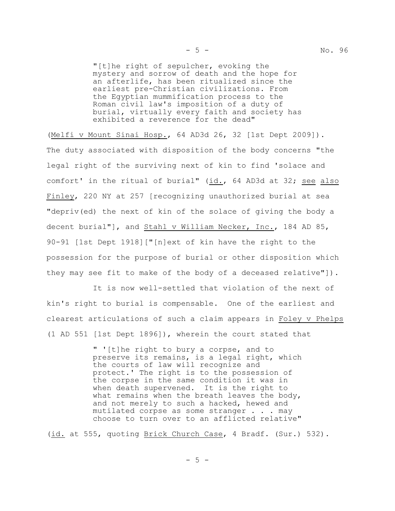"[t]he right of sepulcher, evoking the mystery and sorrow of death and the hope for an afterlife, has been ritualized since the earliest pre-Christian civilizations. From the Egyptian mummification process to the Roman civil law's imposition of a duty of burial, virtually every faith and society has exhibited a reverence for the dead"

(Melfi v Mount Sinai Hosp., 64 AD3d 26, 32 [1st Dept 2009]). The duty associated with disposition of the body concerns "the legal right of the surviving next of kin to find 'solace and comfort' in the ritual of burial" (id., 64 AD3d at 32; see also Finley, 220 NY at 257 [recognizing unauthorized burial at sea "depriv(ed) the next of kin of the solace of giving the body a decent burial"], and Stahl v William Necker, Inc., 184 AD 85, 90-91 [1st Dept 1918]["[n]ext of kin have the right to the possession for the purpose of burial or other disposition which they may see fit to make of the body of a deceased relative"]).

It is now well-settled that violation of the next of kin's right to burial is compensable. One of the earliest and clearest articulations of such a claim appears in Foley v Phelps (1 AD 551 [1st Dept 1896]), wherein the court stated that

> " '[t]he right to bury a corpse, and to preserve its remains, is a legal right, which the courts of law will recognize and protect.' The right is to the possession of the corpse in the same condition it was in when death supervened. It is the right to what remains when the breath leaves the body, and not merely to such a hacked, hewed and mutilated corpse as some stranger . . . may choose to turn over to an afflicted relative"

(id. at 555, quoting Brick Church Case, 4 Bradf. (Sur.) 532).

- 5 -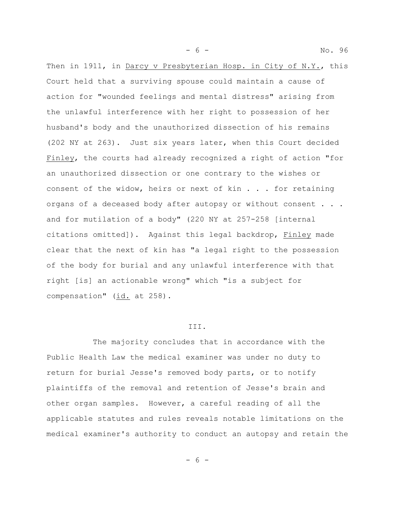- 6 - No. 96

Then in 1911, in Darcy v Presbyterian Hosp. in City of N.Y., this Court held that a surviving spouse could maintain a cause of action for "wounded feelings and mental distress" arising from the unlawful interference with her right to possession of her husband's body and the unauthorized dissection of his remains (202 NY at 263). Just six years later, when this Court decided Finley, the courts had already recognized a right of action "for an unauthorized dissection or one contrary to the wishes or consent of the widow, heirs or next of kin . . . for retaining organs of a deceased body after autopsy or without consent . . . and for mutilation of a body" (220 NY at 257-258 [internal citations omitted]). Against this legal backdrop, Finley made clear that the next of kin has "a legal right to the possession of the body for burial and any unlawful interference with that right [is] an actionable wrong" which "is a subject for compensation"  $(id. at 258)$ .

#### III.

The majority concludes that in accordance with the Public Health Law the medical examiner was under no duty to return for burial Jesse's removed body parts, or to notify plaintiffs of the removal and retention of Jesse's brain and other organ samples. However, a careful reading of all the applicable statutes and rules reveals notable limitations on the medical examiner's authority to conduct an autopsy and retain the

- 6 -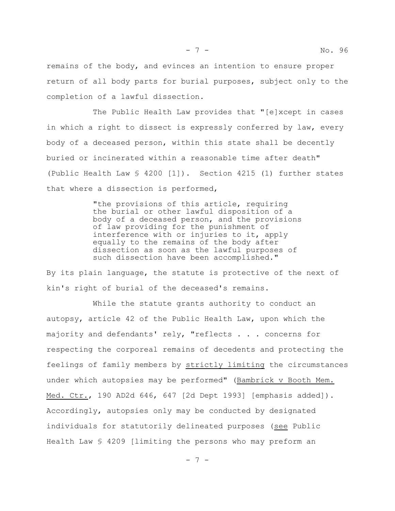The Public Health Law provides that "[e]xcept in cases in which a right to dissect is expressly conferred by law, every body of a deceased person, within this state shall be decently buried or incinerated within a reasonable time after death" (Public Health Law § 4200 [1]). Section 4215 (1) further states that where a dissection is performed,

> "the provisions of this article, requiring the burial or other lawful disposition of a body of a deceased person, and the provisions of law providing for the punishment of interference with or injuries to it, apply equally to the remains of the body after dissection as soon as the lawful purposes of such dissection have been accomplished."

By its plain language, the statute is protective of the next of kin's right of burial of the deceased's remains.

While the statute grants authority to conduct an autopsy, article 42 of the Public Health Law, upon which the majority and defendants' rely, "reflects . . . concerns for respecting the corporeal remains of decedents and protecting the feelings of family members by strictly limiting the circumstances under which autopsies may be performed" (Bambrick v Booth Mem. Med. Ctr., 190 AD2d 646, 647 [2d Dept 1993] [emphasis added]). Accordingly, autopsies only may be conducted by designated individuals for statutorily delineated purposes (see Public Health Law § 4209 [limiting the persons who may preform an

- 7 -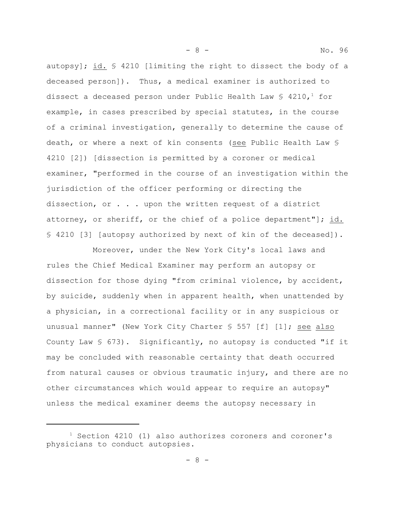autopsy]; id. § 4210 [limiting the right to dissect the body of a deceased person]). Thus, a medical examiner is authorized to dissect a deceased person under Public Health Law  $\S$  4210,<sup>1</sup> for example, in cases prescribed by special statutes, in the course of a criminal investigation, generally to determine the cause of death, or where a next of kin consents (see Public Health Law § 4210 [2]) [dissection is permitted by a coroner or medical examiner, "performed in the course of an investigation within the jurisdiction of the officer performing or directing the dissection, or . . . upon the written request of a district attorney, or sheriff, or the chief of a police department"]; id. § 4210 [3] [autopsy authorized by next of kin of the deceased]).

- 8 - No. 96

Moreover, under the New York City's local laws and rules the Chief Medical Examiner may perform an autopsy or dissection for those dying "from criminal violence, by accident, by suicide, suddenly when in apparent health, when unattended by a physician, in a correctional facility or in any suspicious or unusual manner" (New York City Charter § 557 [f] [1]; see also County Law  $\S$  673). Significantly, no autopsy is conducted "if it may be concluded with reasonable certainty that death occurred from natural causes or obvious traumatic injury, and there are no other circumstances which would appear to require an autopsy" unless the medical examiner deems the autopsy necessary in

 $1$  Section 4210 (1) also authorizes coroners and coroner's physicians to conduct autopsies.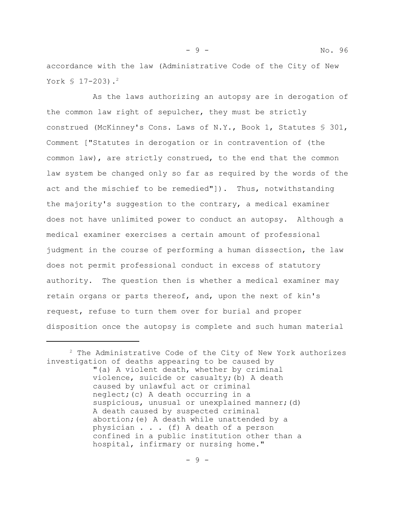accordance with the law (Administrative Code of the City of New York  $$ 17-203$ .<sup>2</sup>

As the laws authorizing an autopsy are in derogation of the common law right of sepulcher, they must be strictly construed (McKinney's Cons. Laws of N.Y., Book 1, Statutes § 301, Comment ["Statutes in derogation or in contravention of (the common law), are strictly construed, to the end that the common law system be changed only so far as required by the words of the act and the mischief to be remedied"]). Thus, notwithstanding the majority's suggestion to the contrary, a medical examiner does not have unlimited power to conduct an autopsy. Although a medical examiner exercises a certain amount of professional judgment in the course of performing a human dissection, the law does not permit professional conduct in excess of statutory authority. The question then is whether a medical examiner may retain organs or parts thereof, and, upon the next of kin's request, refuse to turn them over for burial and proper disposition once the autopsy is complete and such human material

 $2$  The Administrative Code of the City of New York authorizes investigation of deaths appearing to be caused by "(a) A violent death, whether by criminal violence, suicide or casualty;(b) A death caused by unlawful act or criminal neglect;(c) A death occurring in a suspicious, unusual or unexplained manner; (d) A death caused by suspected criminal abortion;(e) A death while unattended by a physician . . . (f) A death of a person confined in a public institution other than a hospital, infirmary or nursing home."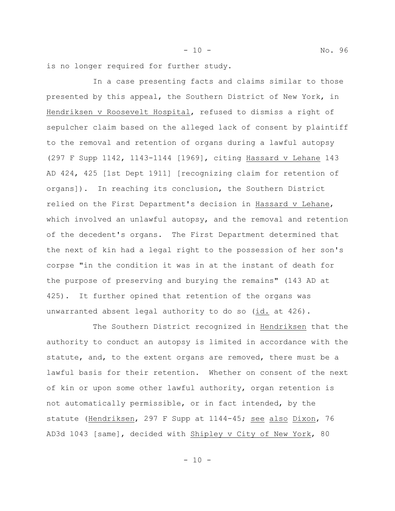is no longer required for further study.

In a case presenting facts and claims similar to those presented by this appeal, the Southern District of New York, in Hendriksen v Roosevelt Hospital, refused to dismiss a right of sepulcher claim based on the alleged lack of consent by plaintiff to the removal and retention of organs during a lawful autopsy (297 F Supp 1142, 1143-1144 [1969], citing Hassard v Lehane 143 AD 424, 425 [1st Dept 1911] [recognizing claim for retention of organs]). In reaching its conclusion, the Southern District relied on the First Department's decision in Hassard v Lehane, which involved an unlawful autopsy, and the removal and retention of the decedent's organs. The First Department determined that the next of kin had a legal right to the possession of her son's corpse "in the condition it was in at the instant of death for the purpose of preserving and burying the remains" (143 AD at 425). It further opined that retention of the organs was unwarranted absent legal authority to do so (id. at 426).

The Southern District recognized in Hendriksen that the authority to conduct an autopsy is limited in accordance with the statute, and, to the extent organs are removed, there must be a lawful basis for their retention. Whether on consent of the next of kin or upon some other lawful authority, organ retention is not automatically permissible, or in fact intended, by the statute (Hendriksen, 297 F Supp at 1144-45; see also Dixon, 76 AD3d 1043 [same], decided with Shipley v City of New York, 80

- 10 - No. 96

- 10 -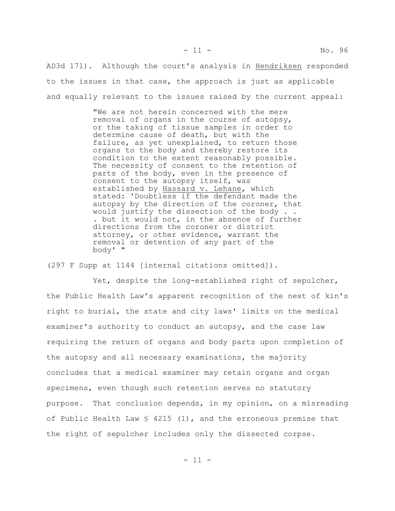AD3d 171). Although the court's analysis in Hendriksen responded to the issues in that case, the approach is just as applicable and equally relevant to the issues raised by the current appeal:

> "We are not herein concerned with the mere removal of organs in the course of autopsy, or the taking of tissue samples in order to determine cause of death, but with the failure, as yet unexplained, to return those organs to the body and thereby restore its condition to the extent reasonably possible. The necessity of consent to the retention of parts of the body, even in the presence of consent to the autopsy itself, was established by Hassard v. Lehane, which stated: 'Doubtless if the defendant made the autopsy by the direction of the coroner, that would justify the dissection of the body . . . but it would not, in the absence of further directions from the coroner or district attorney, or other evidence, warrant the removal or detention of any part of the body' "

(297 F Supp at 1144 [internal citations omitted]).

Yet, despite the long-established right of sepulcher, the Public Health Law's apparent recognition of the next of kin's right to burial, the state and city laws' limits on the medical examiner's authority to conduct an autopsy, and the case law requiring the return of organs and body parts upon completion of the autopsy and all necessary examinations, the majority concludes that a medical examiner may retain organs and organ specimens, even though such retention serves no statutory purpose. That conclusion depends, in my opinion, on a misreading of Public Health Law § 4215 (1), and the erroneous premise that the right of sepulcher includes only the dissected corpse.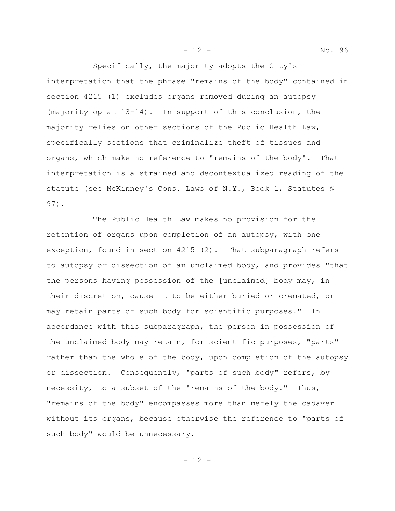Specifically, the majority adopts the City's interpretation that the phrase "remains of the body" contained in section 4215 (1) excludes organs removed during an autopsy (majority op at 13-14). In support of this conclusion, the majority relies on other sections of the Public Health Law, specifically sections that criminalize theft of tissues and organs, which make no reference to "remains of the body". That interpretation is a strained and decontextualized reading of the statute (see McKinney's Cons. Laws of N.Y., Book 1, Statutes § 97).

The Public Health Law makes no provision for the retention of organs upon completion of an autopsy, with one exception, found in section 4215 (2). That subparagraph refers to autopsy or dissection of an unclaimed body, and provides "that the persons having possession of the [unclaimed] body may, in their discretion, cause it to be either buried or cremated, or may retain parts of such body for scientific purposes." In accordance with this subparagraph, the person in possession of the unclaimed body may retain, for scientific purposes, "parts" rather than the whole of the body, upon completion of the autopsy or dissection. Consequently, "parts of such body" refers, by necessity, to a subset of the "remains of the body." Thus, "remains of the body" encompasses more than merely the cadaver without its organs, because otherwise the reference to "parts of such body" would be unnecessary.

- 12 - No. 96

- 12 -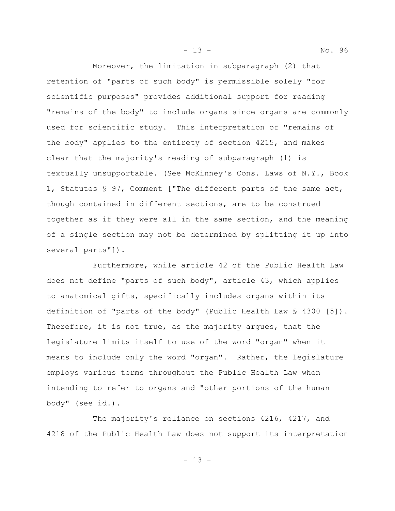- 13 - No. 96

Moreover, the limitation in subparagraph (2) that retention of "parts of such body" is permissible solely "for scientific purposes" provides additional support for reading "remains of the body" to include organs since organs are commonly used for scientific study. This interpretation of "remains of the body" applies to the entirety of section 4215, and makes clear that the majority's reading of subparagraph (1) is textually unsupportable. (See McKinney's Cons. Laws of N.Y., Book 1, Statutes § 97, Comment ["The different parts of the same act, though contained in different sections, are to be construed together as if they were all in the same section, and the meaning of a single section may not be determined by splitting it up into several parts"]).

Furthermore, while article 42 of the Public Health Law does not define "parts of such body", article 43, which applies to anatomical gifts, specifically includes organs within its definition of "parts of the body" (Public Health Law § 4300 [5]). Therefore, it is not true, as the majority argues, that the legislature limits itself to use of the word "organ" when it means to include only the word "organ". Rather, the legislature employs various terms throughout the Public Health Law when intending to refer to organs and "other portions of the human body" (see id.).

The majority's reliance on sections 4216, 4217, and 4218 of the Public Health Law does not support its interpretation

- 13 -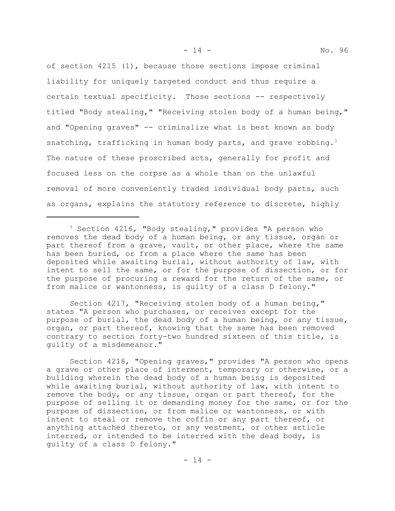of section 4215 (1), because those sections impose criminal liability for uniquely targeted conduct and thus require a certain textual specificity. Those sections -- respectively titled "Body stealing," "Receiving stolen body of a human being," and "Opening graves" -- criminalize what is best known as body snatching, trafficking in human body parts, and grave robbing.<sup>3</sup> The nature of these proscribed acts, generally for profit and focused less on the corpse as a whole than on the unlawful removal of more conveniently traded individual body parts, such as organs, explains the statutory reference to discrete, highly

Section 4217, "Receiving stolen body of a human being," states "A person who purchases, or receives except for the purpose of burial, the dead body of a human being, or any tissue, organ, or part thereof, knowing that the same has been removed contrary to section forty-two hundred sixteen of this title, is guilty of a misdemeanor."

Section 4218, "Opening graves," provides "A person who opens a grave or other place of interment, temporary or otherwise, or a building wherein the dead body of a human being is deposited while awaiting burial, without authority of law, with intent to remove the body, or any tissue, organ or part thereof, for the purpose of selling it or demanding money for the same, or for the purpose of dissection, or from malice or wantonness, or with intent to steal or remove the coffin or any part thereof, or anything attached thereto, or any vestment, or other article interred, or intended to be interred with the dead body, is guilty of a class D felony."

<sup>&</sup>lt;sup>3</sup> Section 4216, "Body stealing," provides "A person who removes the dead body of a human being, or any tissue, organ or part thereof from a grave, vault, or other place, where the same has been buried, or from a place where the same has been deposited while awaiting burial, without authority of law, with intent to sell the same, or for the purpose of dissection, or for the purpose of procuring a reward for the return of the same, or from malice or wantonness, is guilty of a class D felony."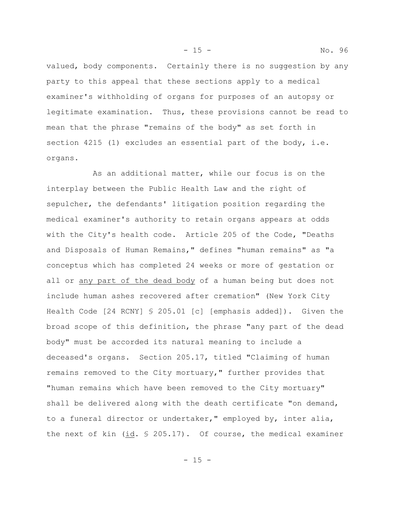valued, body components. Certainly there is no suggestion by any party to this appeal that these sections apply to a medical examiner's withholding of organs for purposes of an autopsy or legitimate examination. Thus, these provisions cannot be read to mean that the phrase "remains of the body" as set forth in section 4215 (1) excludes an essential part of the body, i.e. organs.

As an additional matter, while our focus is on the interplay between the Public Health Law and the right of sepulcher, the defendants' litigation position regarding the medical examiner's authority to retain organs appears at odds with the City's health code. Article 205 of the Code, "Deaths and Disposals of Human Remains," defines "human remains" as "a conceptus which has completed 24 weeks or more of gestation or all or any part of the dead body of a human being but does not include human ashes recovered after cremation" (New York City Health Code [24 RCNY] § 205.01 [c] [emphasis added]). Given the broad scope of this definition, the phrase "any part of the dead body" must be accorded its natural meaning to include a deceased's organs. Section 205.17, titled "Claiming of human remains removed to the City mortuary," further provides that "human remains which have been removed to the City mortuary" shall be delivered along with the death certificate "on demand, to a funeral director or undertaker," employed by, inter alia, the next of kin (id. § 205.17). Of course, the medical examiner

- 15 - No. 96

- 15 -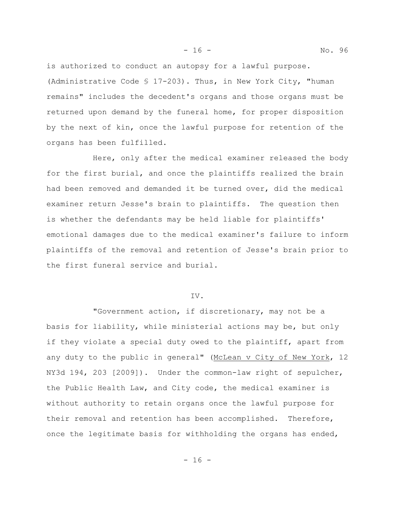is authorized to conduct an autopsy for a lawful purpose. (Administrative Code § 17-203). Thus, in New York City, "human remains" includes the decedent's organs and those organs must be returned upon demand by the funeral home, for proper disposition by the next of kin, once the lawful purpose for retention of the organs has been fulfilled.

Here, only after the medical examiner released the body for the first burial, and once the plaintiffs realized the brain had been removed and demanded it be turned over, did the medical examiner return Jesse's brain to plaintiffs. The question then is whether the defendants may be held liable for plaintiffs' emotional damages due to the medical examiner's failure to inform plaintiffs of the removal and retention of Jesse's brain prior to the first funeral service and burial.

# IV.

"Government action, if discretionary, may not be a basis for liability, while ministerial actions may be, but only if they violate a special duty owed to the plaintiff, apart from any duty to the public in general" (McLean v City of New York, 12 NY3d 194, 203 [2009]). Under the common-law right of sepulcher, the Public Health Law, and City code, the medical examiner is without authority to retain organs once the lawful purpose for their removal and retention has been accomplished. Therefore, once the legitimate basis for withholding the organs has ended,

- 16 - No. 96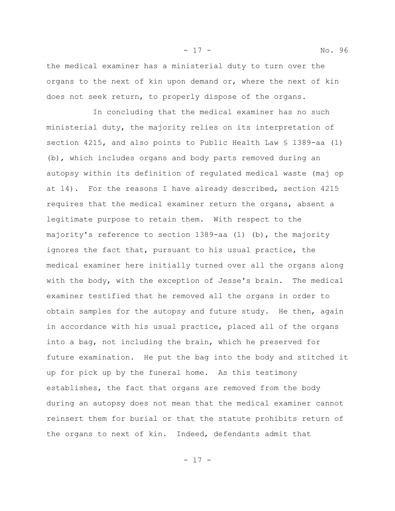the medical examiner has a ministerial duty to turn over the organs to the next of kin upon demand or, where the next of kin does not seek return, to properly dispose of the organs.

In concluding that the medical examiner has no such ministerial duty, the majority relies on its interpretation of section 4215, and also points to Public Health Law § 1389-aa (1) (b), which includes organs and body parts removed during an autopsy within its definition of regulated medical waste (maj op at 14). For the reasons I have already described, section 4215 requires that the medical examiner return the organs, absent a legitimate purpose to retain them. With respect to the majority's reference to section 1389-aa (1) (b), the majority ignores the fact that, pursuant to his usual practice, the medical examiner here initially turned over all the organs along with the body, with the exception of Jesse's brain. The medical examiner testified that he removed all the organs in order to obtain samples for the autopsy and future study. He then, again in accordance with his usual practice, placed all of the organs into a bag, not including the brain, which he preserved for future examination. He put the bag into the body and stitched it up for pick up by the funeral home. As this testimony establishes, the fact that organs are removed from the body during an autopsy does not mean that the medical examiner cannot reinsert them for burial or that the statute prohibits return of the organs to next of kin. Indeed, defendants admit that

- 17 - No. 96

- 17 -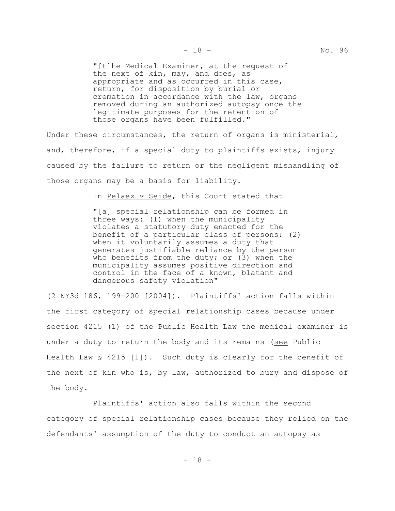"[t]he Medical Examiner, at the request of the next of kin, may, and does, as appropriate and as occurred in this case, return, for disposition by burial or cremation in accordance with the law, organs removed during an authorized autopsy once the legitimate purposes for the retention of those organs have been fulfilled."

Under these circumstances, the return of organs is ministerial, and, therefore, if a special duty to plaintiffs exists, injury caused by the failure to return or the negligent mishandling of those organs may be a basis for liability.

In Pelaez v Seide, this Court stated that

"[a] special relationship can be formed in three ways: (1) when the municipality violates a statutory duty enacted for the benefit of a particular class of persons; (2) when it voluntarily assumes a duty that generates justifiable reliance by the person who benefits from the duty; or (3) when the municipality assumes positive direction and control in the face of a known, blatant and dangerous safety violation"

(2 NY3d 186, 199-200 [2004]). Plaintiffs' action falls within the first category of special relationship cases because under section 4215 (1) of the Public Health Law the medical examiner is under a duty to return the body and its remains (see Public Health Law  $\frac{1}{2}$  4215 [1]). Such duty is clearly for the benefit of the next of kin who is, by law, authorized to bury and dispose of the body.

Plaintiffs' action also falls within the second category of special relationship cases because they relied on the defendants' assumption of the duty to conduct an autopsy as

- 18 -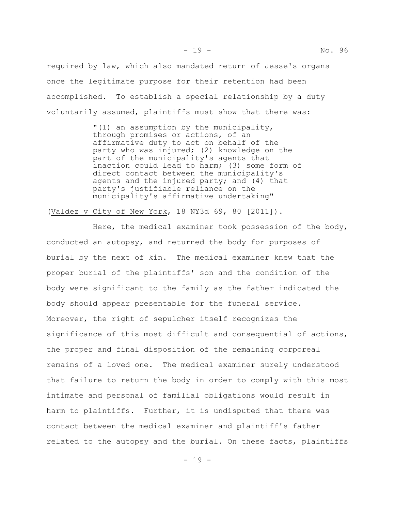required by law, which also mandated return of Jesse's organs once the legitimate purpose for their retention had been accomplished. To establish a special relationship by a duty voluntarily assumed, plaintiffs must show that there was:

> "(1) an assumption by the municipality, through promises or actions, of an affirmative duty to act on behalf of the party who was injured; (2) knowledge on the part of the municipality's agents that inaction could lead to harm; (3) some form of direct contact between the municipality's agents and the injured party; and (4) that party's justifiable reliance on the municipality's affirmative undertaking"

(Valdez v City of New York, 18 NY3d 69, 80 [2011]).

Here, the medical examiner took possession of the body, conducted an autopsy, and returned the body for purposes of burial by the next of kin. The medical examiner knew that the proper burial of the plaintiffs' son and the condition of the body were significant to the family as the father indicated the body should appear presentable for the funeral service. Moreover, the right of sepulcher itself recognizes the significance of this most difficult and consequential of actions, the proper and final disposition of the remaining corporeal remains of a loved one. The medical examiner surely understood that failure to return the body in order to comply with this most intimate and personal of familial obligations would result in harm to plaintiffs. Further, it is undisputed that there was contact between the medical examiner and plaintiff's father related to the autopsy and the burial. On these facts, plaintiffs

 $- 19 -$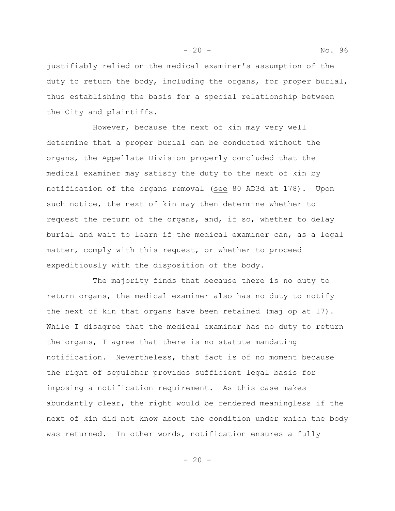justifiably relied on the medical examiner's assumption of the duty to return the body, including the organs, for proper burial, thus establishing the basis for a special relationship between the City and plaintiffs.

However, because the next of kin may very well determine that a proper burial can be conducted without the organs, the Appellate Division properly concluded that the medical examiner may satisfy the duty to the next of kin by notification of the organs removal (see 80 AD3d at 178). Upon such notice, the next of kin may then determine whether to request the return of the organs, and, if so, whether to delay burial and wait to learn if the medical examiner can, as a legal matter, comply with this request, or whether to proceed expeditiously with the disposition of the body.

The majority finds that because there is no duty to return organs, the medical examiner also has no duty to notify the next of kin that organs have been retained (maj op at 17). While I disagree that the medical examiner has no duty to return the organs, I agree that there is no statute mandating notification. Nevertheless, that fact is of no moment because the right of sepulcher provides sufficient legal basis for imposing a notification requirement. As this case makes abundantly clear, the right would be rendered meaningless if the next of kin did not know about the condition under which the body was returned. In other words, notification ensures a fully

- 20 - No. 96

 $- 20 -$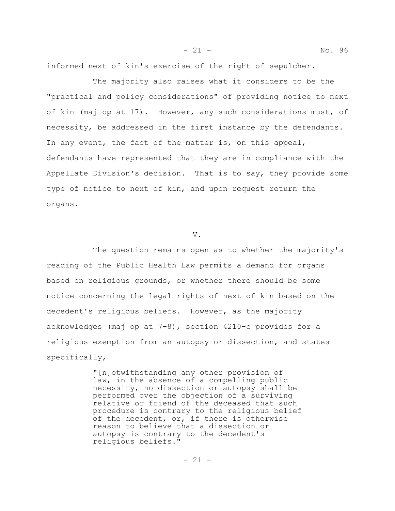informed next of kin's exercise of the right of sepulcher.

The majority also raises what it considers to be the "practical and policy considerations" of providing notice to next of kin (maj op at 17). However, any such considerations must, of necessity, be addressed in the first instance by the defendants. In any event, the fact of the matter is, on this appeal, defendants have represented that they are in compliance with the Appellate Division's decision. That is to say, they provide some type of notice to next of kin, and upon request return the organs.

# V.

The question remains open as to whether the majority's reading of the Public Health Law permits a demand for organs based on religious grounds, or whether there should be some notice concerning the legal rights of next of kin based on the decedent's religious beliefs. However, as the majority acknowledges (maj op at 7-8), section 4210-c provides for a religious exemption from an autopsy or dissection, and states specifically,

> "[n]otwithstanding any other provision of law, in the absence of a compelling public necessity, no dissection or autopsy shall be performed over the objection of a surviving relative or friend of the deceased that such procedure is contrary to the religious belief of the decedent, or, if there is otherwise reason to believe that a dissection or autopsy is contrary to the decedent's religious beliefs."

- 21 - No. 96

 $- 21 -$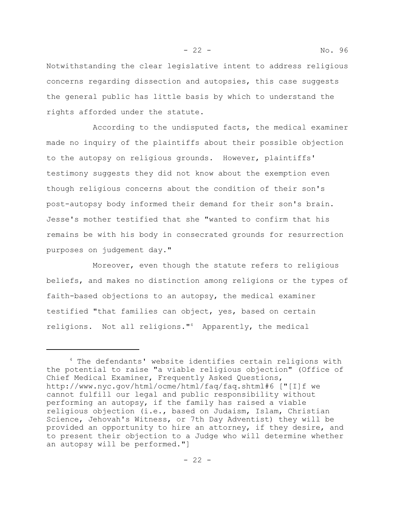Notwithstanding the clear legislative intent to address religious concerns regarding dissection and autopsies, this case suggests the general public has little basis by which to understand the rights afforded under the statute.

According to the undisputed facts, the medical examiner made no inquiry of the plaintiffs about their possible objection to the autopsy on religious grounds. However, plaintiffs' testimony suggests they did not know about the exemption even though religious concerns about the condition of their son's post-autopsy body informed their demand for their son's brain. Jesse's mother testified that she "wanted to confirm that his remains be with his body in consecrated grounds for resurrection purposes on judgement day."

Moreover, even though the statute refers to religious beliefs, and makes no distinction among religions or the types of faith-based objections to an autopsy, the medical examiner testified "that families can object, yes, based on certain religions. Not all religions."<sup>4</sup> Apparently, the medical

<sup>4</sup> The defendants' website identifies certain religions with the potential to raise "a viable religious objection" (Office of Chief Medical Examiner, Frequently Asked Questions, http://www.nyc.gov/html/ocme/html/faq/faq.shtml#6 ["[I]f we cannot fulfill our legal and public responsibility without performing an autopsy, if the family has raised a viable religious objection (i.e., based on Judaism, Islam, Christian Science, Jehovah's Witness, or 7th Day Adventist) they will be provided an opportunity to hire an attorney, if they desire, and to present their objection to a Judge who will determine whether an autopsy will be performed."]